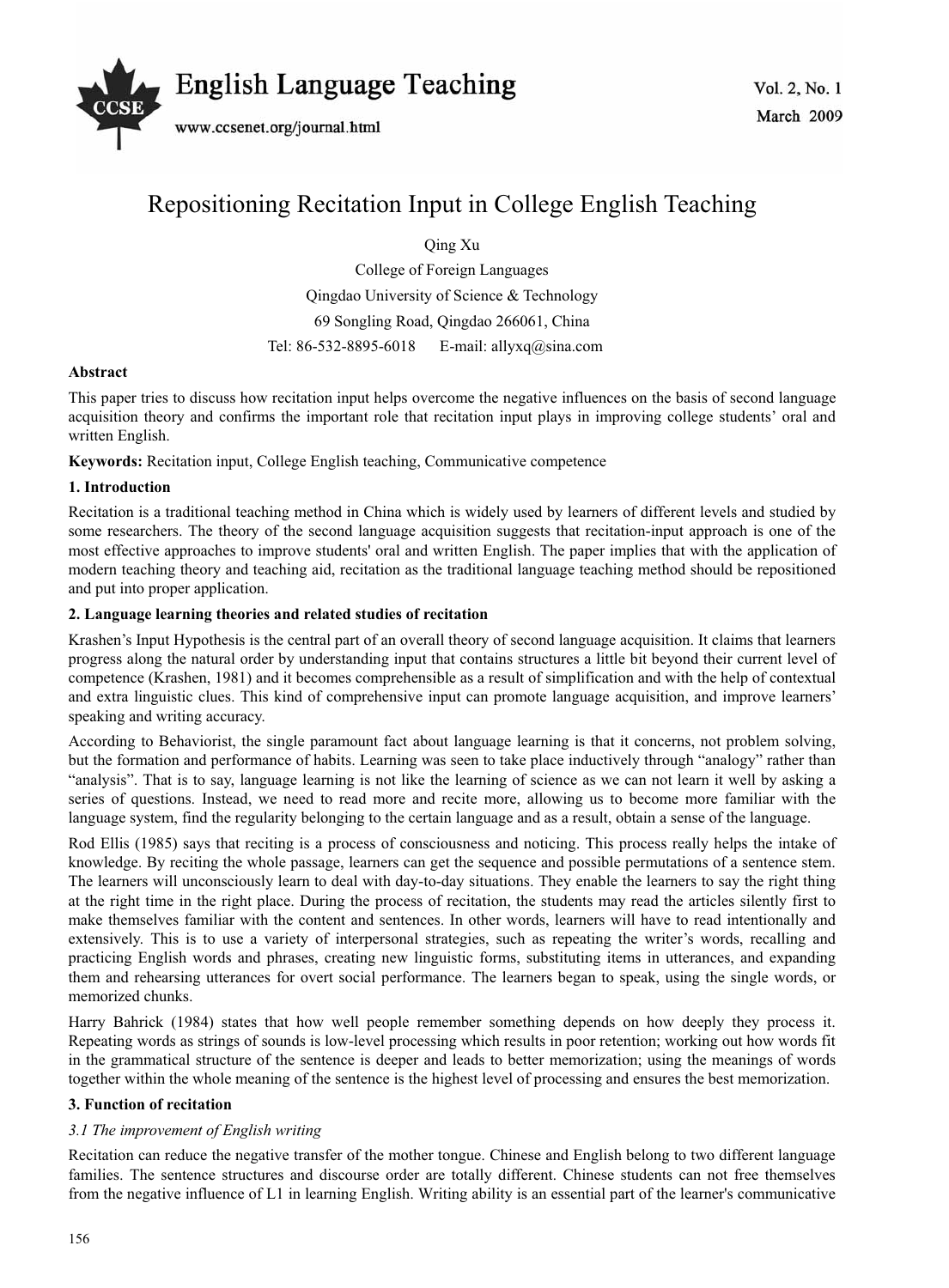

# Repositioning Recitation Input in College English Teaching

Qing Xu

College of Foreign Languages Qingdao University of Science & Technology 69 Songling Road, Qingdao 266061, China Tel: 86-532-8895-6018 E-mail: allyxq@sina.com

# **Abstract**

This paper tries to discuss how recitation input helps overcome the negative influences on the basis of second language acquisition theory and confirms the important role that recitation input plays in improving college students' oral and written English.

**Keywords:** Recitation input, College English teaching, Communicative competence

## **1. Introduction**

Recitation is a traditional teaching method in China which is widely used by learners of different levels and studied by some researchers. The theory of the second language acquisition suggests that recitation-input approach is one of the most effective approaches to improve students' oral and written English. The paper implies that with the application of modern teaching theory and teaching aid, recitation as the traditional language teaching method should be repositioned and put into proper application.

## **2. Language learning theories and related studies of recitation**

Krashen's Input Hypothesis is the central part of an overall theory of second language acquisition. It claims that learners progress along the natural order by understanding input that contains structures a little bit beyond their current level of competence (Krashen, 1981) and it becomes comprehensible as a result of simplification and with the help of contextual and extra linguistic clues. This kind of comprehensive input can promote language acquisition, and improve learners' speaking and writing accuracy.

According to Behaviorist, the single paramount fact about language learning is that it concerns, not problem solving, but the formation and performance of habits. Learning was seen to take place inductively through "analogy" rather than "analysis". That is to say, language learning is not like the learning of science as we can not learn it well by asking a series of questions. Instead, we need to read more and recite more, allowing us to become more familiar with the language system, find the regularity belonging to the certain language and as a result, obtain a sense of the language.

Rod Ellis (1985) says that reciting is a process of consciousness and noticing. This process really helps the intake of knowledge. By reciting the whole passage, learners can get the sequence and possible permutations of a sentence stem. The learners will unconsciously learn to deal with day-to-day situations. They enable the learners to say the right thing at the right time in the right place. During the process of recitation, the students may read the articles silently first to make themselves familiar with the content and sentences. In other words, learners will have to read intentionally and extensively. This is to use a variety of interpersonal strategies, such as repeating the writer's words, recalling and practicing English words and phrases, creating new linguistic forms, substituting items in utterances, and expanding them and rehearsing utterances for overt social performance. The learners began to speak, using the single words, or memorized chunks.

Harry Bahrick (1984) states that how well people remember something depends on how deeply they process it. Repeating words as strings of sounds is low-level processing which results in poor retention; working out how words fit in the grammatical structure of the sentence is deeper and leads to better memorization; using the meanings of words together within the whole meaning of the sentence is the highest level of processing and ensures the best memorization.

## **3. Function of recitation**

## *3.1 The improvement of English writing*

Recitation can reduce the negative transfer of the mother tongue. Chinese and English belong to two different language families. The sentence structures and discourse order are totally different. Chinese students can not free themselves from the negative influence of L1 in learning English. Writing ability is an essential part of the learner's communicative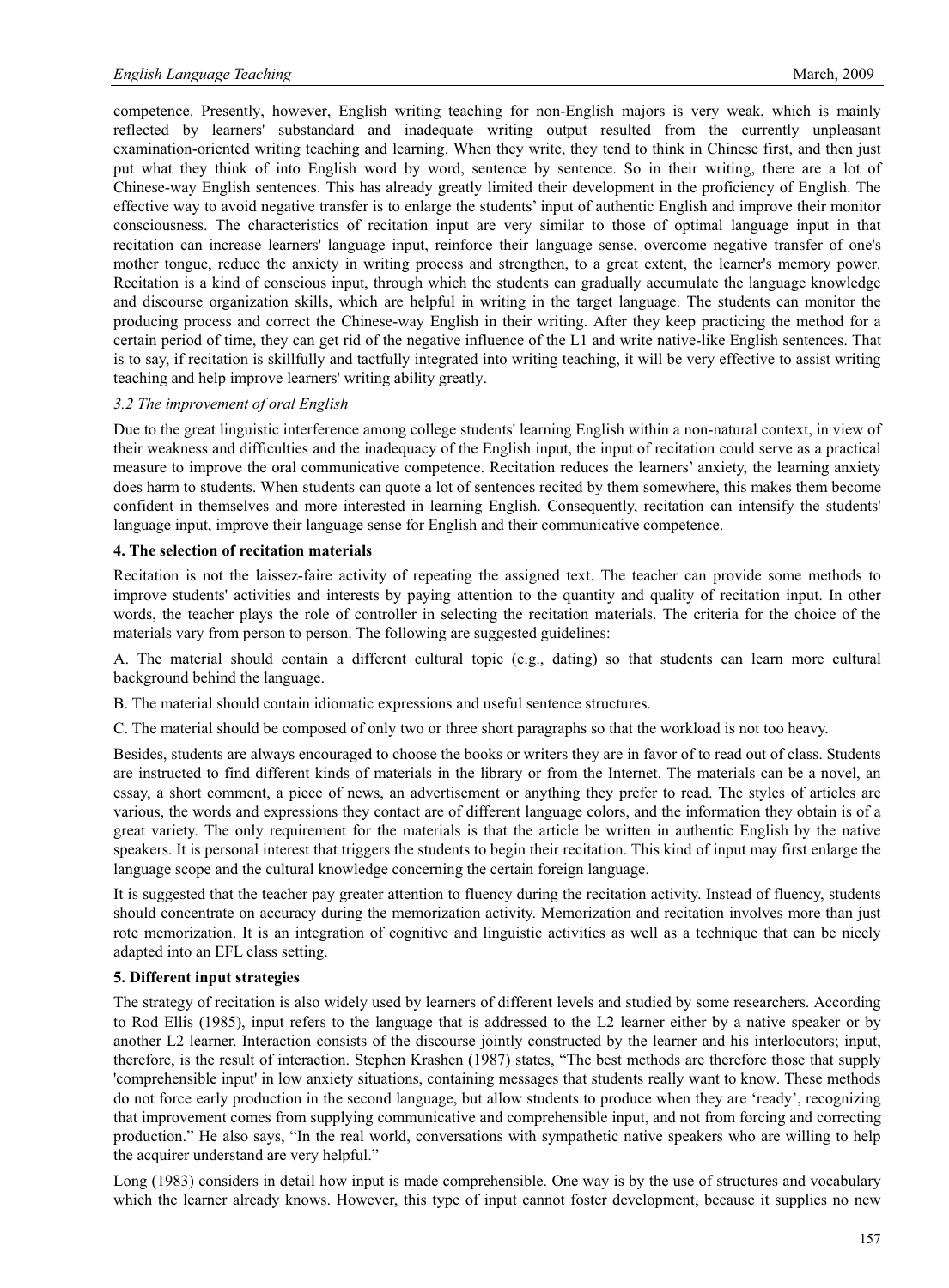competence. Presently, however, English writing teaching for non-English majors is very weak, which is mainly reflected by learners' substandard and inadequate writing output resulted from the currently unpleasant examination-oriented writing teaching and learning. When they write, they tend to think in Chinese first, and then just put what they think of into English word by word, sentence by sentence. So in their writing, there are a lot of Chinese-way English sentences. This has already greatly limited their development in the proficiency of English. The effective way to avoid negative transfer is to enlarge the students' input of authentic English and improve their monitor consciousness. The characteristics of recitation input are very similar to those of optimal language input in that recitation can increase learners' language input, reinforce their language sense, overcome negative transfer of one's mother tongue, reduce the anxiety in writing process and strengthen, to a great extent, the learner's memory power. Recitation is a kind of conscious input, through which the students can gradually accumulate the language knowledge and discourse organization skills, which are helpful in writing in the target language. The students can monitor the producing process and correct the Chinese-way English in their writing. After they keep practicing the method for a certain period of time, they can get rid of the negative influence of the L1 and write native-like English sentences. That is to say, if recitation is skillfully and tactfully integrated into writing teaching, it will be very effective to assist writing teaching and help improve learners' writing ability greatly.

#### *3.2 The improvement of oral English*

Due to the great linguistic interference among college students' learning English within a non-natural context, in view of their weakness and difficulties and the inadequacy of the English input, the input of recitation could serve as a practical measure to improve the oral communicative competence. Recitation reduces the learners' anxiety, the learning anxiety does harm to students. When students can quote a lot of sentences recited by them somewhere, this makes them become confident in themselves and more interested in learning English. Consequently, recitation can intensify the students' language input, improve their language sense for English and their communicative competence.

#### **4. The selection of recitation materials**

Recitation is not the laissez-faire activity of repeating the assigned text. The teacher can provide some methods to improve students' activities and interests by paying attention to the quantity and quality of recitation input. In other words, the teacher plays the role of controller in selecting the recitation materials. The criteria for the choice of the materials vary from person to person. The following are suggested guidelines:

A. The material should contain a different cultural topic (e.g., dating) so that students can learn more cultural background behind the language.

B. The material should contain idiomatic expressions and useful sentence structures.

C. The material should be composed of only two or three short paragraphs so that the workload is not too heavy.

Besides, students are always encouraged to choose the books or writers they are in favor of to read out of class. Students are instructed to find different kinds of materials in the library or from the Internet. The materials can be a novel, an essay, a short comment, a piece of news, an advertisement or anything they prefer to read. The styles of articles are various, the words and expressions they contact are of different language colors, and the information they obtain is of a great variety. The only requirement for the materials is that the article be written in authentic English by the native speakers. It is personal interest that triggers the students to begin their recitation. This kind of input may first enlarge the language scope and the cultural knowledge concerning the certain foreign language.

It is suggested that the teacher pay greater attention to fluency during the recitation activity. Instead of fluency, students should concentrate on accuracy during the memorization activity. Memorization and recitation involves more than just rote memorization. It is an integration of cognitive and linguistic activities as well as a technique that can be nicely adapted into an EFL class setting.

#### **5. Different input strategies**

The strategy of recitation is also widely used by learners of different levels and studied by some researchers. According to Rod Ellis (1985), input refers to the language that is addressed to the L2 learner either by a native speaker or by another L2 learner. Interaction consists of the discourse jointly constructed by the learner and his interlocutors; input, therefore, is the result of interaction. Stephen Krashen (1987) states, "The best methods are therefore those that supply 'comprehensible input' in low anxiety situations, containing messages that students really want to know. These methods do not force early production in the second language, but allow students to produce when they are 'ready', recognizing that improvement comes from supplying communicative and comprehensible input, and not from forcing and correcting production." He also says, "In the real world, conversations with sympathetic native speakers who are willing to help the acquirer understand are very helpful."

Long (1983) considers in detail how input is made comprehensible. One way is by the use of structures and vocabulary which the learner already knows. However, this type of input cannot foster development, because it supplies no new